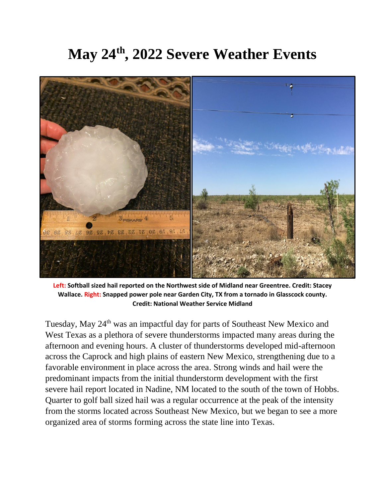## **May 24th, 2022 Severe Weather Events**



**Left: Softball sized hail reported on the Northwest side of Midland near Greentree. Credit: Stacey Wallace. Right: Snapped power pole near Garden City, TX from a tornado in Glasscock county. Credit: National Weather Service Midland**

Tuesday, May 24<sup>th</sup> was an impactful day for parts of Southeast New Mexico and West Texas as a plethora of severe thunderstorms impacted many areas during the afternoon and evening hours. A cluster of thunderstorms developed mid-afternoon across the Caprock and high plains of eastern New Mexico, strengthening due to a favorable environment in place across the area. Strong winds and hail were the predominant impacts from the initial thunderstorm development with the first severe hail report located in Nadine, NM located to the south of the town of Hobbs. Quarter to golf ball sized hail was a regular occurrence at the peak of the intensity from the storms located across Southeast New Mexico, but we began to see a more organized area of storms forming across the state line into Texas.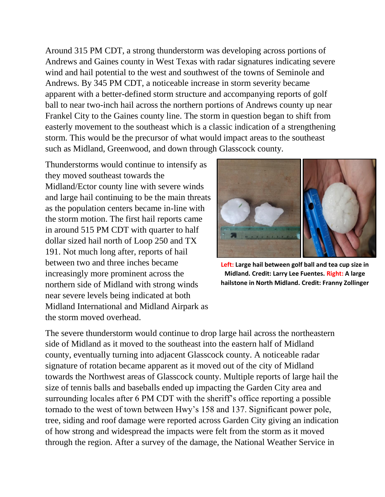Around 315 PM CDT, a strong thunderstorm was developing across portions of Andrews and Gaines county in West Texas with radar signatures indicating severe wind and hail potential to the west and southwest of the towns of Seminole and Andrews. By 345 PM CDT, a noticeable increase in storm severity became apparent with a better-defined storm structure and accompanying reports of golf ball to near two-inch hail across the northern portions of Andrews county up near Frankel City to the Gaines county line. The storm in question began to shift from easterly movement to the southeast which is a classic indication of a strengthening storm. This would be the precursor of what would impact areas to the southeast such as Midland, Greenwood, and down through Glasscock county.

Thunderstorms would continue to intensify as they moved southeast towards the Midland/Ector county line with severe winds and large hail continuing to be the main threats as the population centers became in-line with the storm motion. The first hail reports came in around 515 PM CDT with quarter to half dollar sized hail north of Loop 250 and TX 191. Not much long after, reports of hail between two and three inches became increasingly more prominent across the northern side of Midland with strong winds near severe levels being indicated at both Midland International and Midland Airpark as the storm moved overhead.



**Left: Large hail between golf ball and tea cup size in Midland. Credit: Larry Lee Fuentes. Right: A large hailstone in North Midland. Credit: Franny Zollinger**

The severe thunderstorm would continue to drop large hail across the northeastern side of Midland as it moved to the southeast into the eastern half of Midland county, eventually turning into adjacent Glasscock county. A noticeable radar signature of rotation became apparent as it moved out of the city of Midland towards the Northwest areas of Glasscock county. Multiple reports of large hail the size of tennis balls and baseballs ended up impacting the Garden City area and surrounding locales after 6 PM CDT with the sheriff's office reporting a possible tornado to the west of town between Hwy's 158 and 137. Significant power pole, tree, siding and roof damage were reported across Garden City giving an indication of how strong and widespread the impacts were felt from the storm as it moved through the region. After a survey of the damage, the National Weather Service in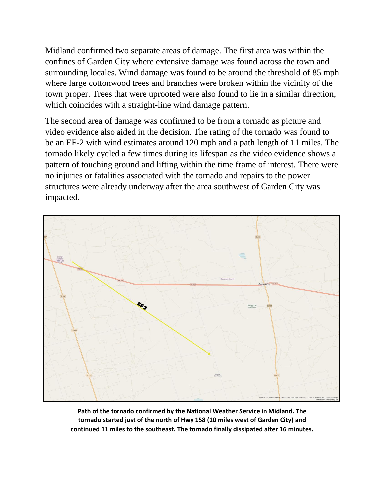Midland confirmed two separate areas of damage. The first area was within the confines of Garden City where extensive damage was found across the town and surrounding locales. Wind damage was found to be around the threshold of 85 mph where large cottonwood trees and branches were broken within the vicinity of the town proper. Trees that were uprooted were also found to lie in a similar direction, which coincides with a straight-line wind damage pattern.

The second area of damage was confirmed to be from a tornado as picture and video evidence also aided in the decision. The rating of the tornado was found to be an EF-2 with wind estimates around 120 mph and a path length of 11 miles. The tornado likely cycled a few times during its lifespan as the video evidence shows a pattern of touching ground and lifting within the time frame of interest. There were no injuries or fatalities associated with the tornado and repairs to the power structures were already underway after the area southwest of Garden City was impacted.



**Path of the tornado confirmed by the National Weather Service in Midland. The tornado started just of the north of Hwy 158 (10 miles west of Garden City) and continued 11 miles to the southeast. The tornado finally dissipated after 16 minutes.**